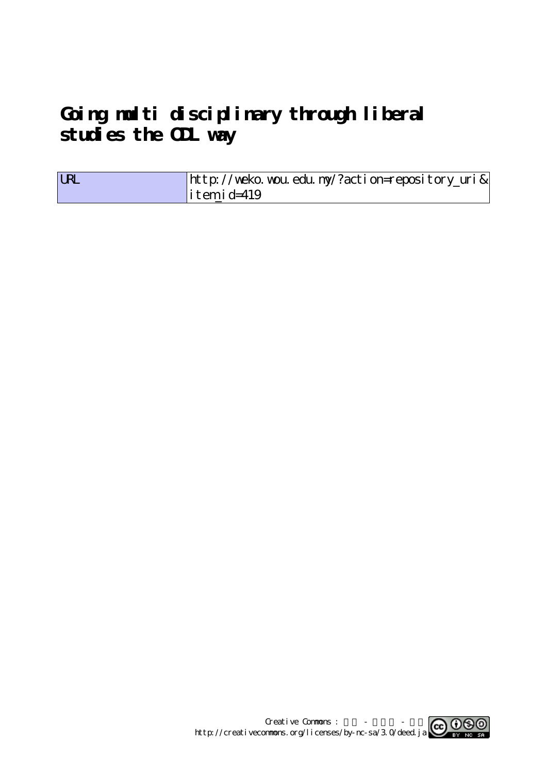# **Going multi disciplinary through liberal** studies the **CL** way

| <b>LRL</b> | http://weko.wou.edu.ny/?action=repository_uri& |
|------------|------------------------------------------------|
|            | $\vert$ itemid=419                             |

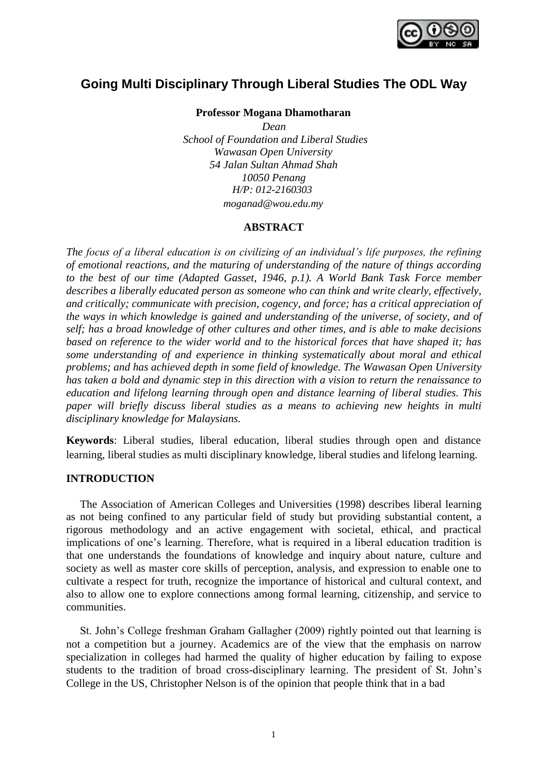

## **Going Multi Disciplinary Through Liberal Studies The ODL Way**

**Professor Mogana Dhamotharan**

*Dean School of Foundation and Liberal Studies Wawasan Open University 54 Jalan Sultan Ahmad Shah 10050 Penang H/P: 012-2160303 moganad@wou.edu.my*

### **ABSTRACT**

*The focus of a liberal education is on civilizing of an individual's life purposes, the refining of emotional reactions, and the maturing of understanding of the nature of things according to the best of our time (Adapted Gasset, 1946, p.1). A World Bank Task Force member describes a liberally educated person as someone who can think and write clearly, effectively, and critically; communicate with precision, cogency, and force; has a critical appreciation of the ways in which knowledge is gained and understanding of the universe, of society, and of self; has a broad knowledge of other cultures and other times, and is able to make decisions based on reference to the wider world and to the historical forces that have shaped it; has some understanding of and experience in thinking systematically about moral and ethical problems; and has achieved depth in some field of knowledge. The Wawasan Open University has taken a bold and dynamic step in this direction with a vision to return the renaissance to education and lifelong learning through open and distance learning of liberal studies. This paper will briefly discuss liberal studies as a means to achieving new heights in multi disciplinary knowledge for Malaysians.*

**Keywords**: Liberal studies, liberal education, liberal studies through open and distance learning, liberal studies as multi disciplinary knowledge, liberal studies and lifelong learning.

#### **INTRODUCTION**

The Association of American Colleges and Universities (1998) describes liberal learning as not being confined to any particular field of study but providing substantial content, a rigorous methodology and an active engagement with societal, ethical, and practical implications of one's learning. Therefore, what is required in a liberal education tradition is that one understands the foundations of knowledge and inquiry about nature, culture and society as well as master core skills of perception, analysis, and expression to enable one to cultivate a respect for truth, recognize the importance of historical and cultural context, and also to allow one to explore connections among formal learning, citizenship, and service to communities.

St. John's College freshman Graham Gallagher (2009) rightly pointed out that learning is not a competition but a journey. Academics are of the view that the emphasis on narrow specialization in colleges had harmed the quality of higher education by failing to expose students to the tradition of broad cross-disciplinary learning. The president of St. John's College in the US, Christopher Nelson is of the opinion that people think that in a bad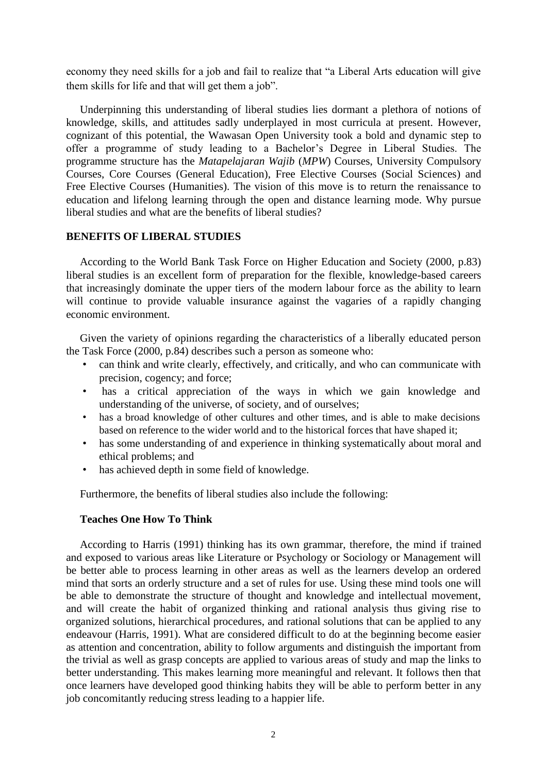economy they need skills for a job and fail to realize that "a Liberal Arts education will give them skills for life and that will get them a job".

Underpinning this understanding of liberal studies lies dormant a plethora of notions of knowledge, skills, and attitudes sadly underplayed in most curricula at present. However, cognizant of this potential, the Wawasan Open University took a bold and dynamic step to offer a programme of study leading to a Bachelor's Degree in Liberal Studies. The programme structure has the *Matapelajaran Wajib* (*MPW*) Courses, University Compulsory Courses, Core Courses (General Education), Free Elective Courses (Social Sciences) and Free Elective Courses (Humanities). The vision of this move is to return the renaissance to education and lifelong learning through the open and distance learning mode. Why pursue liberal studies and what are the benefits of liberal studies?

#### **BENEFITS OF LIBERAL STUDIES**

According to the World Bank Task Force on Higher Education and Society (2000, p.83) liberal studies is an excellent form of preparation for the flexible, knowledge-based careers that increasingly dominate the upper tiers of the modern labour force as the ability to learn will continue to provide valuable insurance against the vagaries of a rapidly changing economic environment.

Given the variety of opinions regarding the characteristics of a liberally educated person the Task Force (2000, p.84) describes such a person as someone who:

- can think and write clearly, effectively, and critically, and who can communicate with precision, cogency; and force;
- has a critical appreciation of the ways in which we gain knowledge and understanding of the universe, of society, and of ourselves;
- has a broad knowledge of other cultures and other times, and is able to make decisions based on reference to the wider world and to the historical forces that have shaped it;
- has some understanding of and experience in thinking systematically about moral and ethical problems; and
- has achieved depth in some field of knowledge.

Furthermore, the benefits of liberal studies also include the following:

#### **Teaches One How To Think**

According to Harris (1991) thinking has its own grammar, therefore, the mind if trained and exposed to various areas like Literature or Psychology or Sociology or Management will be better able to process learning in other areas as well as the learners develop an ordered mind that sorts an orderly structure and a set of rules for use. Using these mind tools one will be able to demonstrate the structure of thought and knowledge and intellectual movement, and will create the habit of organized thinking and rational analysis thus giving rise to organized solutions, hierarchical procedures, and rational solutions that can be applied to any endeavour (Harris, 1991). What are considered difficult to do at the beginning become easier as attention and concentration, ability to follow arguments and distinguish the important from the trivial as well as grasp concepts are applied to various areas of study and map the links to better understanding. This makes learning more meaningful and relevant. It follows then that once learners have developed good thinking habits they will be able to perform better in any job concomitantly reducing stress leading to a happier life.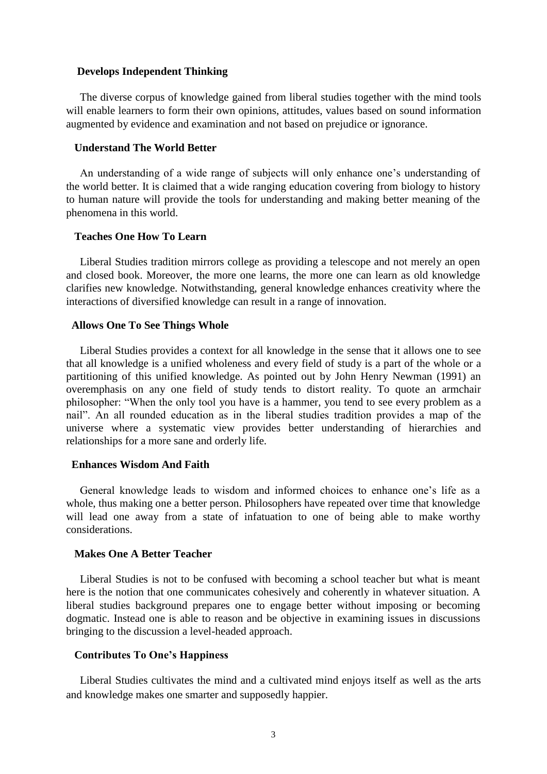#### **Develops Independent Thinking**

The diverse corpus of knowledge gained from liberal studies together with the mind tools will enable learners to form their own opinions, attitudes, values based on sound information augmented by evidence and examination and not based on prejudice or ignorance.

#### **Understand The World Better**

An understanding of a wide range of subjects will only enhance one's understanding of the world better. It is claimed that a wide ranging education covering from biology to history to human nature will provide the tools for understanding and making better meaning of the phenomena in this world.

#### **Teaches One How To Learn**

Liberal Studies tradition mirrors college as providing a telescope and not merely an open and closed book. Moreover, the more one learns, the more one can learn as old knowledge clarifies new knowledge. Notwithstanding, general knowledge enhances creativity where the interactions of diversified knowledge can result in a range of innovation.

#### **Allows One To See Things Whole**

Liberal Studies provides a context for all knowledge in the sense that it allows one to see that all knowledge is a unified wholeness and every field of study is a part of the whole or a partitioning of this unified knowledge. As pointed out by John Henry Newman (1991) an overemphasis on any one field of study tends to distort reality. To quote an armchair philosopher: "When the only tool you have is a hammer, you tend to see every problem as a nail". An all rounded education as in the liberal studies tradition provides a map of the universe where a systematic view provides better understanding of hierarchies and relationships for a more sane and orderly life.

#### **Enhances Wisdom And Faith**

General knowledge leads to wisdom and informed choices to enhance one's life as a whole, thus making one a better person. Philosophers have repeated over time that knowledge will lead one away from a state of infatuation to one of being able to make worthy considerations.

#### **Makes One A Better Teacher**

Liberal Studies is not to be confused with becoming a school teacher but what is meant here is the notion that one communicates cohesively and coherently in whatever situation. A liberal studies background prepares one to engage better without imposing or becoming dogmatic. Instead one is able to reason and be objective in examining issues in discussions bringing to the discussion a level-headed approach.

#### **Contributes To One's Happiness**

Liberal Studies cultivates the mind and a cultivated mind enjoys itself as well as the arts and knowledge makes one smarter and supposedly happier.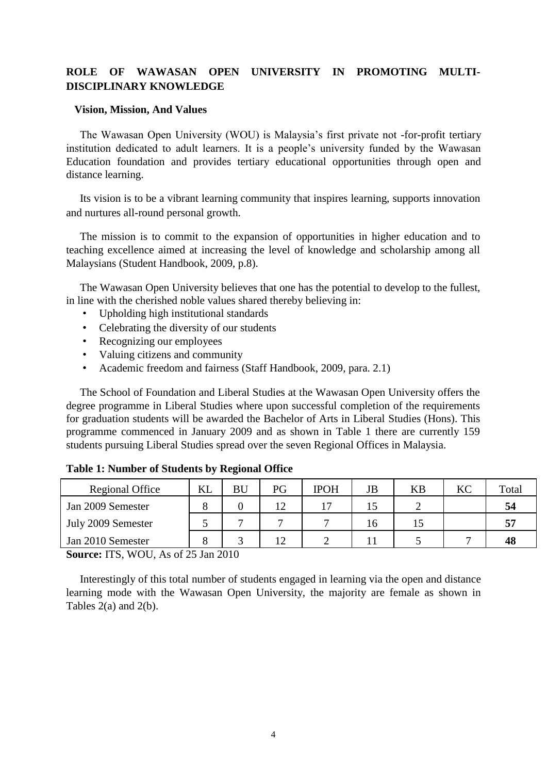## **ROLE OF WAWASAN OPEN UNIVERSITY IN PROMOTING MULTI-DISCIPLINARY KNOWLEDGE**

#### **Vision, Mission, And Values**

The Wawasan Open University (WOU) is Malaysia's first private not -for-profit tertiary institution dedicated to adult learners. It is a people's university funded by the Wawasan Education foundation and provides tertiary educational opportunities through open and distance learning.

Its vision is to be a vibrant learning community that inspires learning, supports innovation and nurtures all-round personal growth.

The mission is to commit to the expansion of opportunities in higher education and to teaching excellence aimed at increasing the level of knowledge and scholarship among all Malaysians (Student Handbook, 2009, p.8).

The Wawasan Open University believes that one has the potential to develop to the fullest, in line with the cherished noble values shared thereby believing in:

- Upholding high institutional standards
- Celebrating the diversity of our students
- Recognizing our employees
- Valuing citizens and community
- Academic freedom and fairness (Staff Handbook, 2009, para. 2.1)

The School of Foundation and Liberal Studies at the Wawasan Open University offers the degree programme in Liberal Studies where upon successful completion of the requirements for graduation students will be awarded the Bachelor of Arts in Liberal Studies (Hons). This programme commenced in January 2009 and as shown in Table 1 there are currently 159 students pursuing Liberal Studies spread over the seven Regional Offices in Malaysia.

| Regional Office    | KL | BU | PG | <b>IPOH</b> | JB | <b>KB</b> | KC | Total |
|--------------------|----|----|----|-------------|----|-----------|----|-------|
| Jan 2009 Semester  |    |    | 12 | ר ו         |    |           |    | 54    |
| July 2009 Semester |    |    |    |             | 10 | IJ        |    | 57    |
| Jan 2010 Semester  |    |    |    |             |    |           |    | 48    |

## **Table 1: Number of Students by Regional Office**

**Source:** ITS, WOU, As of 25 Jan 2010

Interestingly of this total number of students engaged in learning via the open and distance learning mode with the Wawasan Open University, the majority are female as shown in Tables 2(a) and 2(b).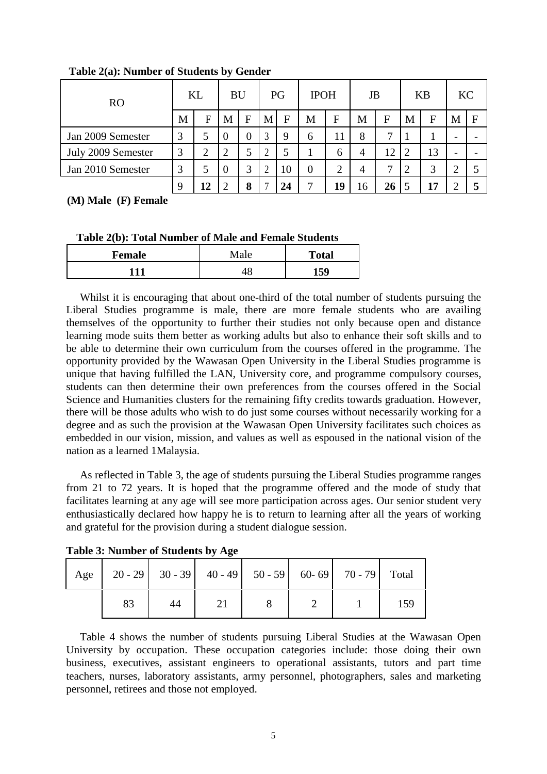| R <sub>O</sub>     | KL |                         | <b>BU</b> |   | PG |              | <b>IPOH</b> |              | JB             |    | <b>KB</b> |    | <b>KC</b>                |  |
|--------------------|----|-------------------------|-----------|---|----|--------------|-------------|--------------|----------------|----|-----------|----|--------------------------|--|
|                    |    | F                       | M         | F | M  | $\mathbf{F}$ | M           | $\mathbf F$  | M              | F  | M         | F  | M                        |  |
| Jan 2009 Semester  |    |                         |           | 0 | 3  | 9            | 6           |              | 8              | ⇁  |           |    | $\overline{\phantom{0}}$ |  |
| July 2009 Semester | 3  | ◠                       |           |   | ↑  | 5            |             | <sub>0</sub> |                | 12 |           | 13 | $\overline{\phantom{0}}$ |  |
| Jan 2010 Semester  | 3  |                         | -0        | 3 | റ  | 10           | 0           |              | $\overline{4}$ | ⇁  |           | 3  |                          |  |
|                    |    | $\overline{\mathbf{2}}$ |           | O |    | 24           | 7           |              |                | 26 |           | 17 |                          |  |

#### **Table 2(a): Number of Students by Gender**

## **(M) Male (F) Female**

#### **Table 2(b): Total Number of Male and Female Students**

| <b>Female</b> | Male | <b>Total</b> |  |  |
|---------------|------|--------------|--|--|
|               |      | 50           |  |  |

Whilst it is encouraging that about one-third of the total number of students pursuing the Liberal Studies programme is male, there are more female students who are availing themselves of the opportunity to further their studies not only because open and distance learning mode suits them better as working adults but also to enhance their soft skills and to be able to determine their own curriculum from the courses offered in the programme. The opportunity provided by the Wawasan Open University in the Liberal Studies programme is unique that having fulfilled the LAN, University core, and programme compulsory courses, students can then determine their own preferences from the courses offered in the Social Science and Humanities clusters for the remaining fifty credits towards graduation. However, there will be those adults who wish to do just some courses without necessarily working for a degree and as such the provision at the Wawasan Open University facilitates such choices as embedded in our vision, mission, and values as well as espoused in the national vision of the nation as a learned 1Malaysia.

As reflected in Table 3, the age of students pursuing the Liberal Studies programme ranges from 21 to 72 years. It is hoped that the programme offered and the mode of study that facilitates learning at any age will see more participation across ages. Our senior student very enthusiastically declared how happy he is to return to learning after all the years of working and grateful for the provision during a student dialogue session.

| Age |    |    |  | 20 - 29   30 - 39   40 - 49   50 - 59   60 - 69   70 - 79   Total |     |
|-----|----|----|--|-------------------------------------------------------------------|-----|
|     | 83 | 44 |  |                                                                   | 159 |

**Table 3: Number of Students by Age**

Table 4 shows the number of students pursuing Liberal Studies at the Wawasan Open University by occupation. These occupation categories include: those doing their own business, executives, assistant engineers to operational assistants, tutors and part time teachers, nurses, laboratory assistants, army personnel, photographers, sales and marketing personnel, retirees and those not employed.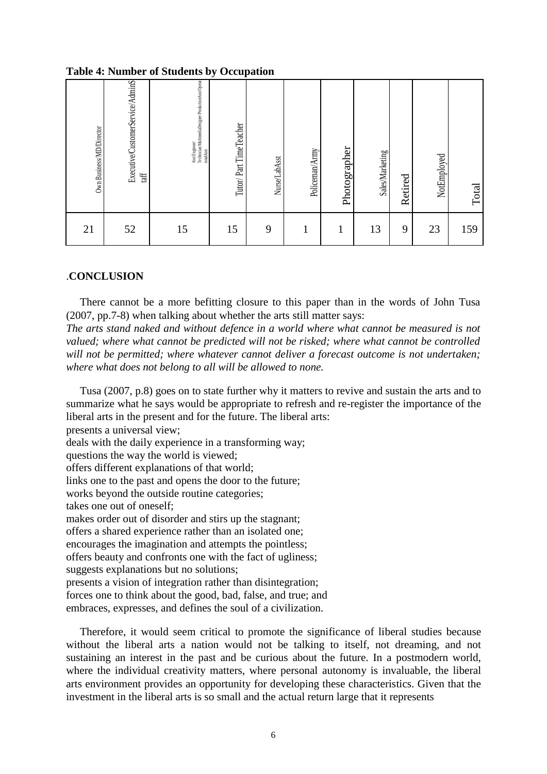#### **Table 4: Number of Students by Occupation**

| Own Business/MD/Director | Executive/CustomerService/AdminS<br>taff | Asst Engineer<br>Technician/MultimediaDesigner/ProductionAsst/Operat<br>ional Asst | Tutor/Part TimeTeacher | Nurse/LabAsst | Policeman/Army | Photographer | Sales/Marketing | Retired | NotEmployed | Total |
|--------------------------|------------------------------------------|------------------------------------------------------------------------------------|------------------------|---------------|----------------|--------------|-----------------|---------|-------------|-------|
| 21                       | 52                                       | 15                                                                                 | 15                     | 9             |                | 1            | 13              | 9       | 23          | 159   |

#### .**CONCLUSION**

There cannot be a more befitting closure to this paper than in the words of John Tusa (2007, pp.7-8) when talking about whether the arts still matter says:

*The arts stand naked and without defence in a world where what cannot be measured is not valued; where what cannot be predicted will not be risked; where what cannot be controlled will not be permitted; where whatever cannot deliver a forecast outcome is not undertaken; where what does not belong to all will be allowed to none.*

Tusa (2007, p.8) goes on to state further why it matters to revive and sustain the arts and to summarize what he says would be appropriate to refresh and re-register the importance of the liberal arts in the present and for the future. The liberal arts:

presents a universal view;

deals with the daily experience in a transforming way;

questions the way the world is viewed;

offers different explanations of that world;

links one to the past and opens the door to the future;

works beyond the outside routine categories;

takes one out of oneself;

makes order out of disorder and stirs up the stagnant;

offers a shared experience rather than an isolated one;

encourages the imagination and attempts the pointless;

offers beauty and confronts one with the fact of ugliness;

suggests explanations but no solutions;

presents a vision of integration rather than disintegration;

forces one to think about the good, bad, false, and true; and

embraces, expresses, and defines the soul of a civilization.

Therefore, it would seem critical to promote the significance of liberal studies because without the liberal arts a nation would not be talking to itself, not dreaming, and not sustaining an interest in the past and be curious about the future. In a postmodern world, where the individual creativity matters, where personal autonomy is invaluable, the liberal arts environment provides an opportunity for developing these characteristics. Given that the investment in the liberal arts is so small and the actual return large that it represents